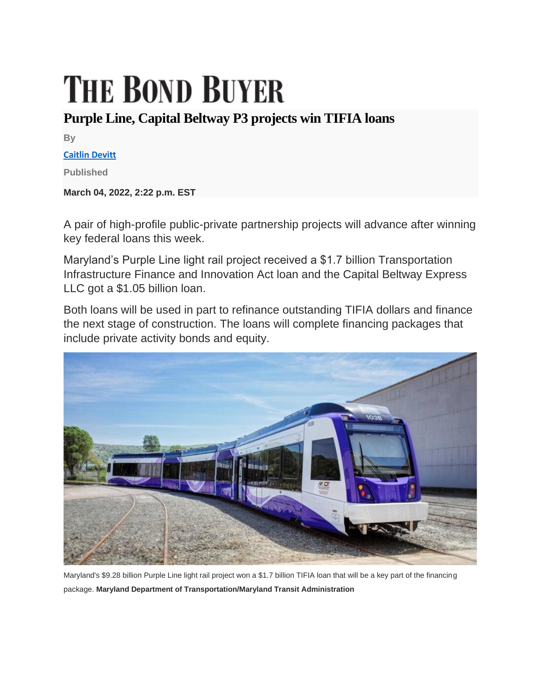## **THE BOND BUYER**

## **Purple Line, Capital Beltway P3 projects win TIFIA loans**

**By**

**[Caitlin Devitt](https://www.bondbuyer.com/author/caitlin-devitt)**

**Published**

**March 04, 2022, 2:22 p.m. EST**

A pair of high-profile public-private partnership projects will advance after winning key federal loans this week.

Maryland's Purple Line light rail project received a \$1.7 billion Transportation Infrastructure Finance and Innovation Act loan and the Capital Beltway Express LLC got a \$1.05 billion loan.

Both loans will be used in part to refinance outstanding TIFIA dollars and finance the next stage of construction. The loans will complete financing packages that include private activity bonds and equity.



Maryland's \$9.28 billion Purple Line light rail project won a \$1.7 billion TIFIA loan that will be a key part of the financing package. **Maryland Department of Transportation/Maryland Transit Administration**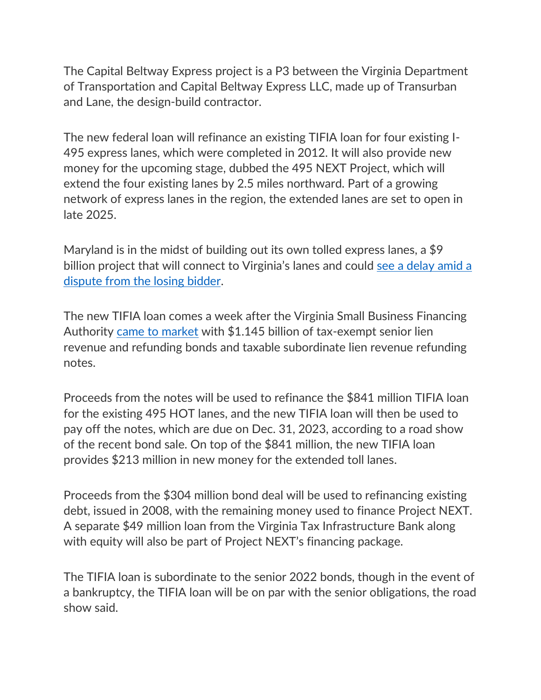The Capital Beltway Express project is a P3 between the Virginia Department of Transportation and Capital Beltway Express LLC, made up of Transurban and Lane, the design-build contractor.

The new federal loan will refinance an existing TIFIA loan for four existing I-495 express lanes, which were completed in 2012. It will also provide new money for the upcoming stage, dubbed the 495 NEXT Project, which will extend the four existing lanes by 2.5 miles northward. Part of a growing network of express lanes in the region, the extended lanes are set to open in late 2025.

Maryland is in the midst of building out its own tolled express lanes, a \$9 billion project that will connect to Virginia's lanes and could [see a delay amid a](https://www.bondbuyer.com/news/judge-orders-maryland-to-reconsider-toll-lanes-contract)  [dispute from the losing bidder.](https://www.bondbuyer.com/news/judge-orders-maryland-to-reconsider-toll-lanes-contract)

The new TIFIA loan comes a week after the Virginia Small Business Financing Authority [came to market](https://www.bondbuyer.com/news/munis-rally-on-a-flight-to-safety-bid-after-russian-troops-invaded-ukraine) with \$1.145 billion of tax-exempt senior lien revenue and refunding bonds and taxable subordinate lien revenue refunding notes.

Proceeds from the notes will be used to refinance the \$841 million TIFIA loan for the existing 495 HOT lanes, and the new TIFIA loan will then be used to pay off the notes, which are due on Dec. 31, 2023, according to a road show of the recent bond sale. On top of the \$841 million, the new TIFIA loan provides \$213 million in new money for the extended toll lanes.

Proceeds from the \$304 million bond deal will be used to refinancing existing debt, issued in 2008, with the remaining money used to finance Project NEXT. A separate \$49 million loan from the Virginia Tax Infrastructure Bank along with equity will also be part of Project NEXT's financing package.

The TIFIA loan is subordinate to the senior 2022 bonds, though in the event of a bankruptcy, the TIFIA loan will be on par with the senior obligations, the road show said.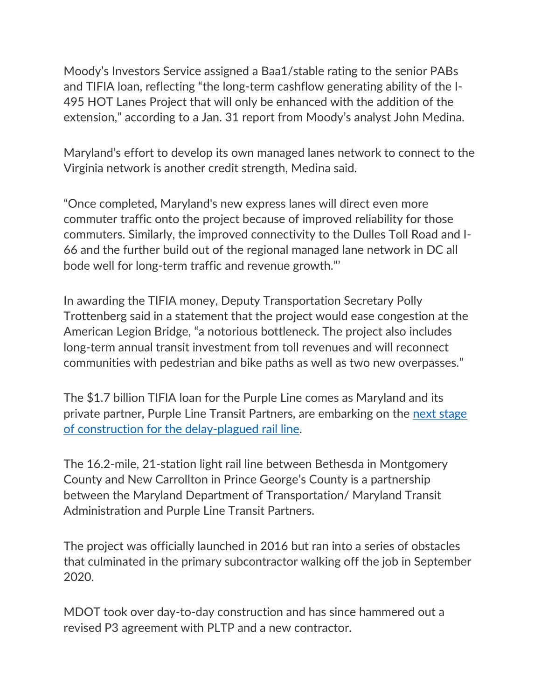Moody's Investors Service assigned a Baa1/stable rating to the senior PABs and TIFIA loan, reflecting "the long-term cashflow generating ability of the I-495 HOT Lanes Project that will only be enhanced with the addition of the extension," according to a Jan. 31 report from Moody's analyst John Medina.

Maryland's effort to develop its own managed lanes network to connect to the Virginia network is another credit strength, Medina said.

"Once completed, Maryland's new express lanes will direct even more commuter traffic onto the project because of improved reliability for those commuters. Similarly, the improved connectivity to the Dulles Toll Road and I-66 and the further build out of the regional managed lane network in DC all bode well for long-term traffic and revenue growth."'

In awarding the TIFIA money, Deputy Transportation Secretary Polly Trottenberg said in a statement that the project would ease congestion at the American Legion Bridge, "a notorious bottleneck. The project also includes long-term annual transit investment from toll revenues and will reconnect communities with pedestrian and bike paths as well as two new overpasses."

The \$1.7 billion TIFIA loan for the Purple Line comes as Maryland and its private partner, Purple Line Transit Partners, are embarking on the [next stage](https://www.bondbuyer.com/news/marylands-p3-purple-line-taking-on-new-bonds-and-tifia-loan)  [of construction for the delay-plagued rail line.](https://www.bondbuyer.com/news/marylands-p3-purple-line-taking-on-new-bonds-and-tifia-loan)

The 16.2-mile, 21-station light rail line between Bethesda in Montgomery County and New Carrollton in Prince George's County is a partnership between the Maryland Department of Transportation/ Maryland Transit Administration and Purple Line Transit Partners.

The project was officially launched in 2016 but ran into a series of obstacles that culminated in the primary subcontractor walking off the job in September 2020.

MDOT took over day-to-day construction and has since hammered out a revised P3 agreement with PLTP and a new contractor.